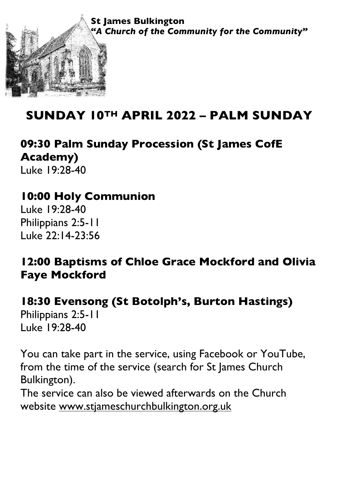

## **SUNDAY 10TH APRIL 2022 – PALM SUNDAY**

**09:30 Palm Sunday Procession (St James CofE Academy)** Luke 19:28-40

## **10:00 Holy Communion**

Luke 19:28-40 Philippians 2:5-11 Luke 22:14-23:56

## **12:00 Baptisms of Chloe Grace Mockford and Olivia Faye Mockford**

# **18:30 Evensong (St Botolph's, Burton Hastings)**

Philippians 2:5-11 Luke 19:28-40

You can take part in the service, using Facebook or YouTube, from the time of the service (search for St James Church Bulkington).

The service can also be viewed afterwards on the Church website www.stjameschurchbulkington.org.uk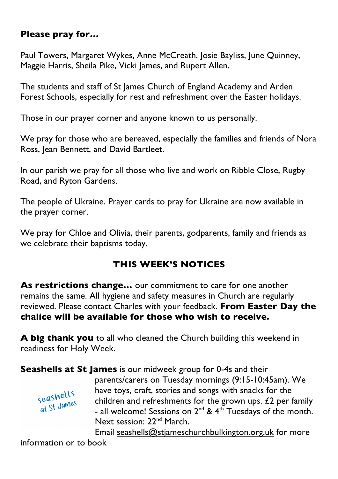#### **Please pray for…**

Paul Towers, Margaret Wykes, Anne McCreath, Josie Bayliss, June Quinney, Maggie Harris, Sheila Pike, Vicki James, and Rupert Allen.

The students and staff of St James Church of England Academy and Arden Forest Schools, especially for rest and refreshment over the Easter holidays.

Those in our prayer corner and anyone known to us personally.

We pray for those who are bereaved, especially the families and friends of Nora Ross, Jean Bennett, and David Bartleet.

In our parish we pray for all those who live and work on Ribble Close, Rugby Road, and Ryton Gardens.

The people of Ukraine. Prayer cards to pray for Ukraine are now available in the prayer corner.

We pray for Chloe and Olivia, their parents, godparents, family and friends as we celebrate their baptisms today.

#### **THIS WEEK'S NOTICES**

**As restrictions change…** our commitment to care for one another remains the same. All hygiene and safety measures in Church are regularly reviewed. Please contact Charles with your feedback. **From Easter Day the chalice will be available for those who wish to receive.** 

**A big thank you** to all who cleaned the Church building this weekend in readiness for Holy Week.

**Seashells at St James** is our midweek group for 0-4s and their



parents/carers on Tuesday mornings (9:15-10:45am). We have toys, craft, stories and songs with snacks for the children and refreshments for the grown ups. £2 per family - all welcome! Sessions on  $2^{nd}$  &  $4^{th}$  Tuesdays of the month. Next session: 22nd March.

Email seashells@stjameschurchbulkington.org.uk for more information or to book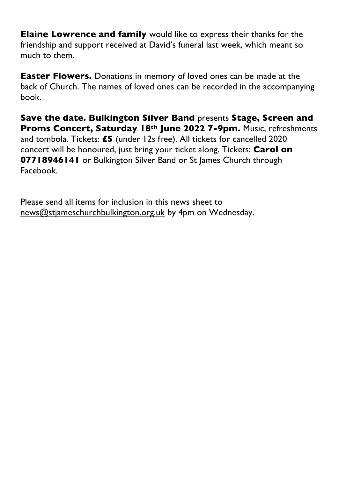**Elaine Lowrence and family** would like to express their thanks for the friendship and support received at David's funeral last week, which meant so much to them.

**Easter Flowers.** Donations in memory of loved ones can be made at the back of Church. The names of loved ones can be recorded in the accompanying book.

**Save the date. Bulkington Silver Band** presents **Stage, Screen and Proms Concert, Saturday 18th June 2022 7-9pm.** Music, refreshments and tombola. Tickets: **£5** (under 12s free). All tickets for cancelled 2020 concert will be honoured, just bring your ticket along. Tickets: **Carol on 07718946141** or Bulkington Silver Band or St James Church through Facebook.

Please send all items for inclusion in this news sheet to news@stjameschurchbulkington.org.uk by 4pm on Wednesday.